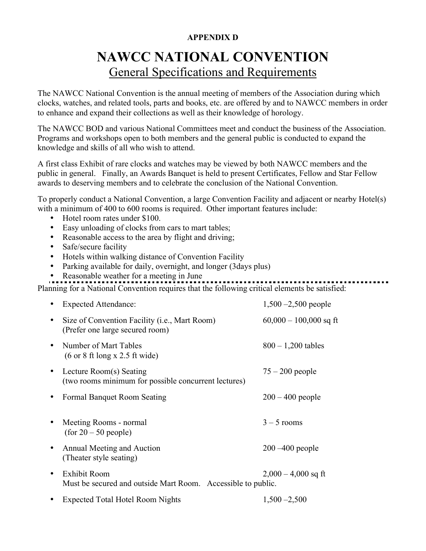#### **APPENDIX D**

# **NAWCC NATIONAL CONVENTION** General Specifications and Requirements

The NAWCC National Convention is the annual meeting of members of the Association during which clocks, watches, and related tools, parts and books, etc. are offered by and to NAWCC members in order to enhance and expand their collections as well as their knowledge of horology.

The NAWCC BOD and various National Committees meet and conduct the business of the Association. Programs and workshops open to both members and the general public is conducted to expand the knowledge and skills of all who wish to attend.

A first class Exhibit of rare clocks and watches may be viewed by both NAWCC members and the public in general. Finally, an Awards Banquet is held to present Certificates, Fellow and Star Fellow awards to deserving members and to celebrate the conclusion of the National Convention.

To properly conduct a National Convention, a large Convention Facility and adjacent or nearby Hotel(s) with a minimum of 400 to 600 rooms is required. Other important features include:

- Hotel room rates under \$100.
- Easy unloading of clocks from cars to mart tables;
- Reasonable access to the area by flight and driving;
- Safe/secure facility
- Hotels within walking distance of Convention Facility
- Parking available for daily, overnight, and longer (3days plus)
- Reasonable weather for a meeting in June

Planning for a National Convention requires that the following critical elements be satisfied:

|   | <b>Expected Attendance:</b>                                                               | $1,500 - 2,500$ people   |
|---|-------------------------------------------------------------------------------------------|--------------------------|
| ٠ | Size of Convention Facility ( <i>i.e.</i> , Mart Room)<br>(Prefer one large secured room) | $60,000 - 100,000$ sq ft |
| ٠ | Number of Mart Tables<br>$(6 \text{ or } 8 \text{ ft long x } 2.5 \text{ ft wide})$       | $800 - 1,200$ tables     |
| ٠ | Lecture Room(s) Seating<br>(two rooms minimum for possible concurrent lectures)           | $75 - 200$ people        |
|   | Formal Banquet Room Seating                                                               | $200 - 400$ people       |
|   | Meeting Rooms - normal<br>$(for 20 - 50 people)$                                          | $3 - 5$ rooms            |
| ٠ | Annual Meeting and Auction<br>(Theater style seating)                                     | $200 - 400$ people       |
| ٠ | <b>Exhibit Room</b><br>Must be secured and outside Mart Room. Accessible to public.       | $2,000 - 4,000$ sq ft    |
|   | <b>Expected Total Hotel Room Nights</b>                                                   | $1,500 - 2,500$          |
|   |                                                                                           |                          |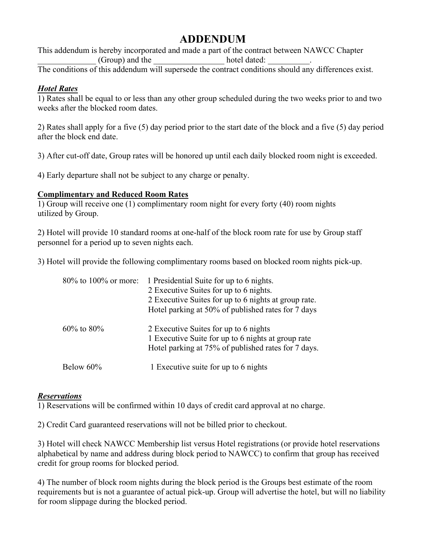## **ADDENDUM**

This addendum is hereby incorporated and made a part of the contract between NAWCC Chapter \_\_\_\_\_\_\_\_\_\_\_\_\_\_ (Group) and the \_\_\_\_\_\_\_\_\_\_\_\_\_\_\_\_\_ hotel dated: \_\_\_\_\_\_\_\_\_\_.

The conditions of this addendum will supersede the contract conditions should any differences exist.

### *Hotel Rates*

1) Rates shall be equal to or less than any other group scheduled during the two weeks prior to and two weeks after the blocked room dates.

2) Rates shall apply for a five (5) day period prior to the start date of the block and a five (5) day period after the block end date.

3) After cut-off date, Group rates will be honored up until each daily blocked room night is exceeded.

4) Early departure shall not be subject to any charge or penalty.

#### **Complimentary and Reduced Room Rates**

1) Group will receive one (1) complimentary room night for every forty (40) room nights utilized by Group.

2) Hotel will provide 10 standard rooms at one-half of the block room rate for use by Group staff personnel for a period up to seven nights each.

3) Hotel will provide the following complimentary rooms based on blocked room nights pick-up.

| 80% to 100% or more: | 1 Presidential Suite for up to 6 nights.<br>2 Executive Suites for up to 6 nights.<br>2 Executive Suites for up to 6 nights at group rate.<br>Hotel parking at 50% of published rates for 7 days |
|----------------------|--------------------------------------------------------------------------------------------------------------------------------------------------------------------------------------------------|
| $60\%$ to $80\%$     | 2 Executive Suites for up to 6 nights<br>1 Executive Suite for up to 6 nights at group rate<br>Hotel parking at 75% of published rates for 7 days.                                               |
| Below 60%            | 1 Executive suite for up to 6 nights                                                                                                                                                             |

#### *Reservations*

1) Reservations will be confirmed within 10 days of credit card approval at no charge.

2) Credit Card guaranteed reservations will not be billed prior to checkout.

3) Hotel will check NAWCC Membership list versus Hotel registrations (or provide hotel reservations alphabetical by name and address during block period to NAWCC) to confirm that group has received credit for group rooms for blocked period.

4) The number of block room nights during the block period is the Groups best estimate of the room requirements but is not a guarantee of actual pick-up. Group will advertise the hotel, but will no liability for room slippage during the blocked period.